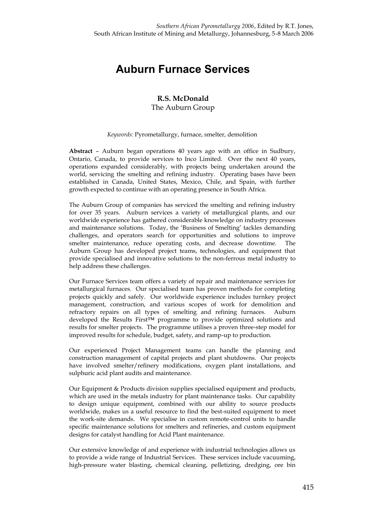## **Auburn Furnace Services**

## **R.S. McDonald** The Auburn Group

## *Keywords:* Pyrometallurgy, furnace, smelter, demolition

**Abstract** – Auburn began operations 40 years ago with an office in Sudbury, Ontario, Canada, to provide services to Inco Limited. Over the next 40 years, operations expanded considerably, with projects being undertaken around the world, servicing the smelting and refining industry. Operating bases have been established in Canada, United States, Mexico, Chile, and Spain, with further growth expected to continue with an operating presence in South Africa.

The Auburn Group of companies has serviced the smelting and refining industry for over 35 years. Auburn services a variety of metallurgical plants, and our worldwide experience has gathered considerable knowledge on industry processes and maintenance solutions. Today, the 'Business of Smelting' tackles demanding challenges, and operators search for opportunities and solutions to improve smelter maintenance, reduce operating costs, and decrease downtime. The Auburn Group has developed project teams, technologies, and equipment that provide specialised and innovative solutions to the non-ferrous metal industry to help address these challenges.

Our Furnace Services team offers a variety of repair and maintenance services for metallurgical furnaces. Our specialised team has proven methods for completing projects quickly and safely. Our worldwide experience includes turnkey project management, construction, and various scopes of work for demolition and refractory repairs on all types of smelting and refining furnaces. Auburn developed the Results First**TM** programme to provide optimized solutions and results for smelter projects. The programme utilises a proven three-step model for improved results for schedule, budget, safety, and ramp-up to production.

Our experienced Project Management teams can handle the planning and construction management of capital projects and plant shutdowns. Our projects have involved smelter/refinery modifications, oxygen plant installations, and sulphuric acid plant audits and maintenance.

Our Equipment & Products division supplies specialised equipment and products, which are used in the metals industry for plant maintenance tasks. Our capability to design unique equipment, combined with our ability to source products worldwide, makes us a useful resource to find the best-suited equipment to meet the work-site demands. We specialise in custom remote-control units to handle specific maintenance solutions for smelters and refineries, and custom equipment designs for catalyst handling for Acid Plant maintenance.

Our extensive knowledge of and experience with industrial technologies allows us to provide a wide range of Industrial Services. These services include vacuuming, high-pressure water blasting, chemical cleaning, pelletizing, dredging, ore bin